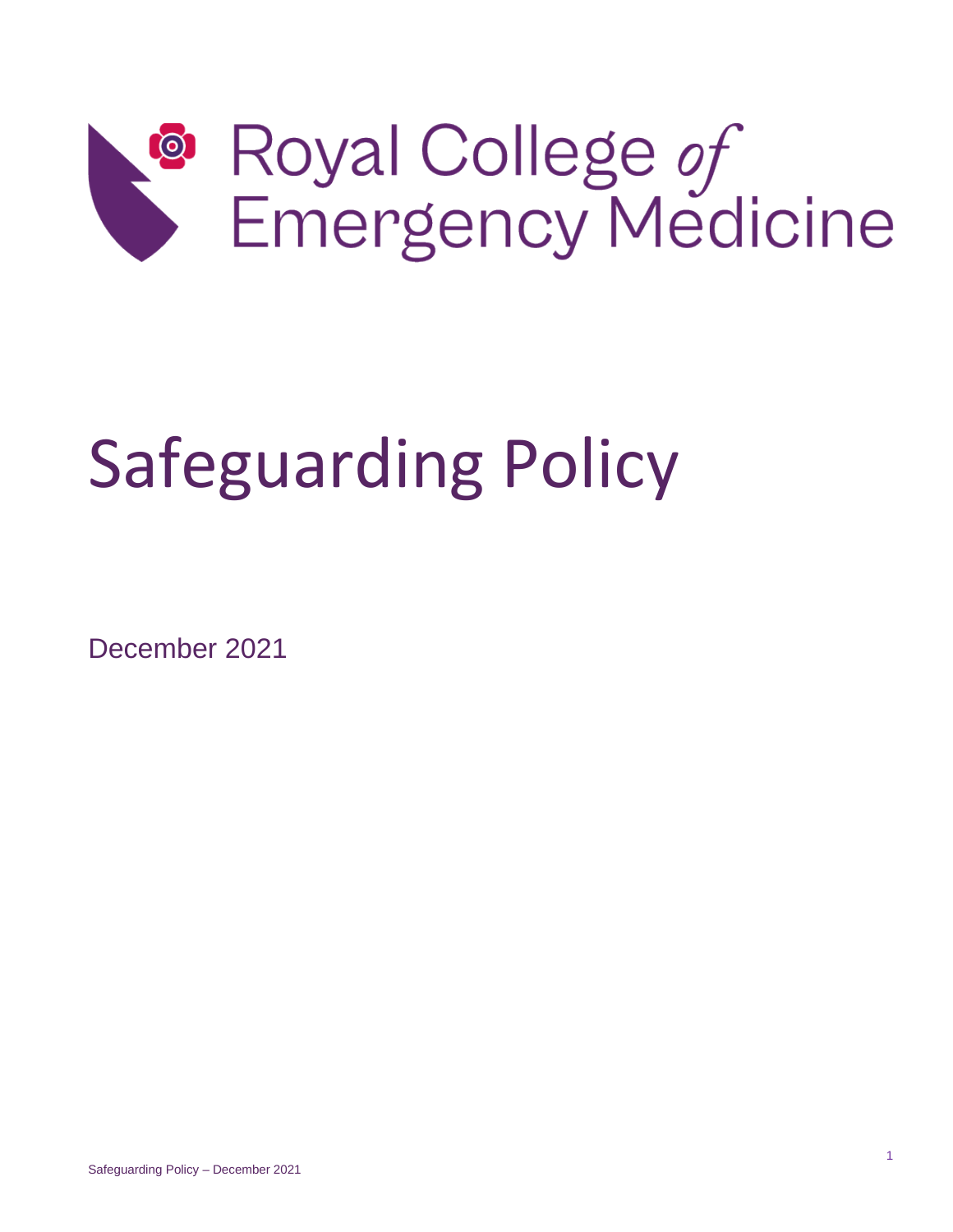

# Safeguarding Policy

December 2021

Safeguarding Policy – December 2021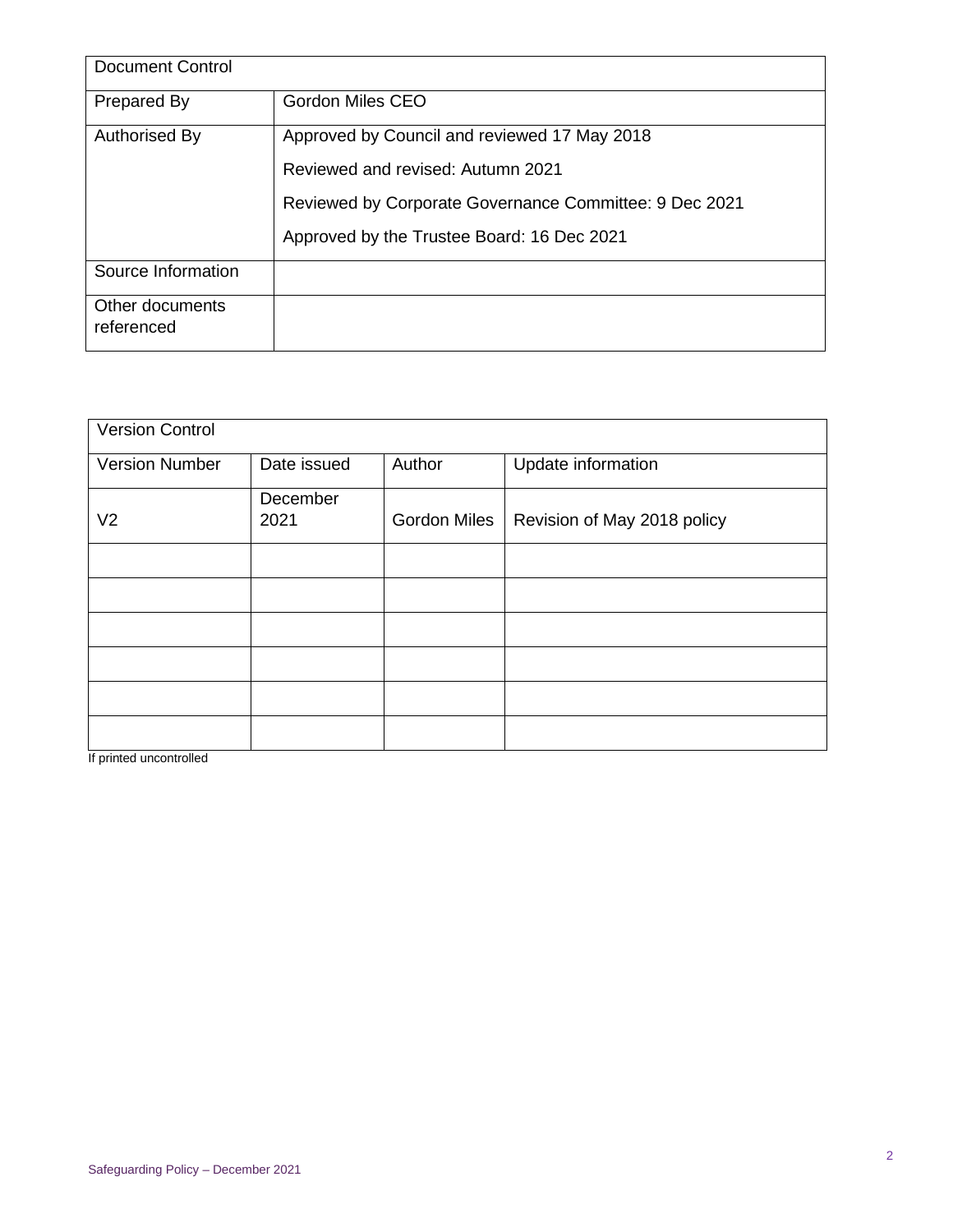| <b>Document Control</b>       |                                                        |  |  |  |
|-------------------------------|--------------------------------------------------------|--|--|--|
| Prepared By                   | <b>Gordon Miles CEO</b>                                |  |  |  |
| Authorised By                 | Approved by Council and reviewed 17 May 2018           |  |  |  |
|                               | Reviewed and revised: Autumn 2021                      |  |  |  |
|                               | Reviewed by Corporate Governance Committee: 9 Dec 2021 |  |  |  |
|                               | Approved by the Trustee Board: 16 Dec 2021             |  |  |  |
| Source Information            |                                                        |  |  |  |
| Other documents<br>referenced |                                                        |  |  |  |

| <b>Version Control</b> |                  |                     |                             |
|------------------------|------------------|---------------------|-----------------------------|
| <b>Version Number</b>  | Date issued      | Author              | Update information          |
| V <sub>2</sub>         | December<br>2021 | <b>Gordon Miles</b> | Revision of May 2018 policy |
|                        |                  |                     |                             |
|                        |                  |                     |                             |
|                        |                  |                     |                             |
|                        |                  |                     |                             |
|                        |                  |                     |                             |
|                        |                  |                     |                             |

If printed uncontrolled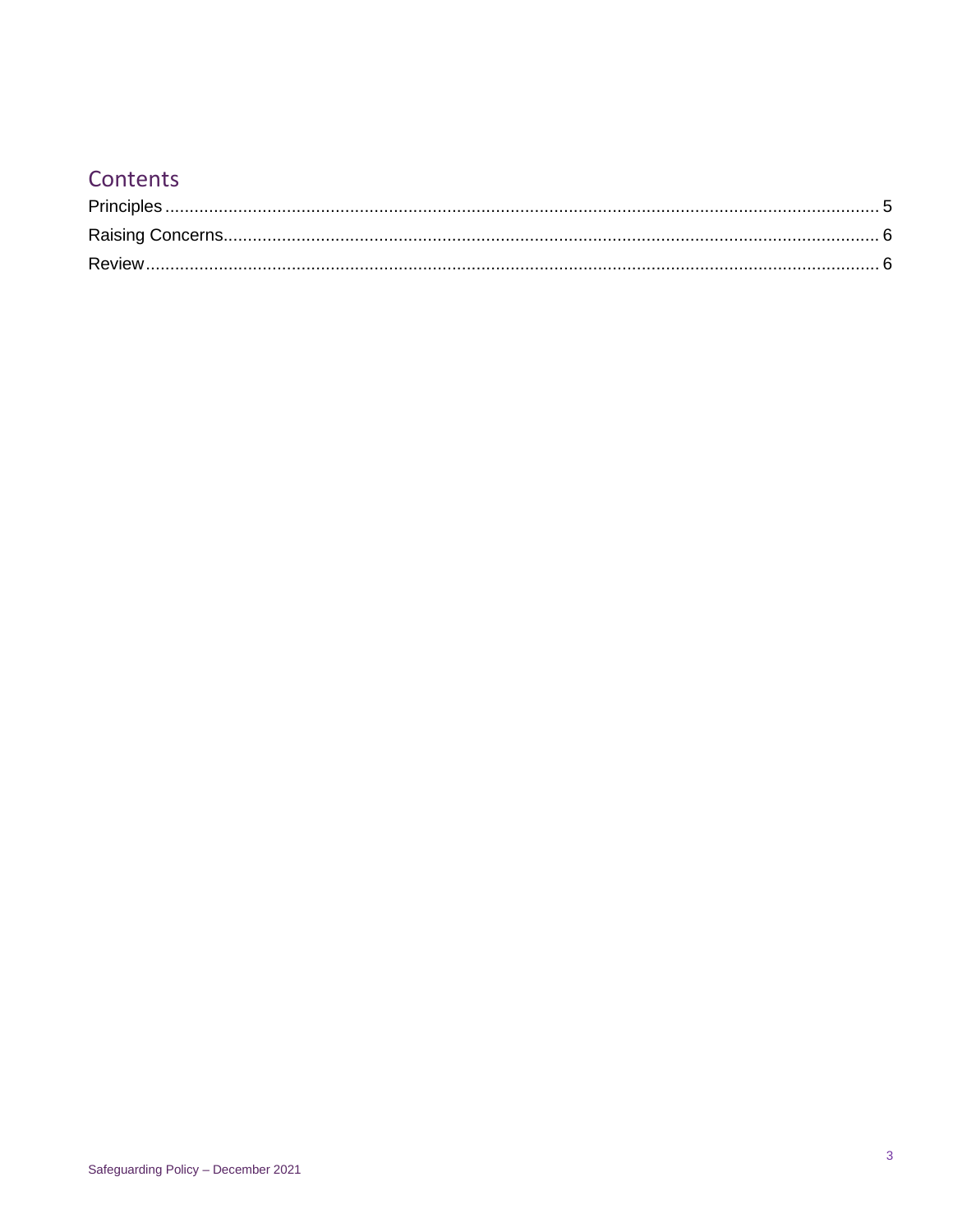## Contents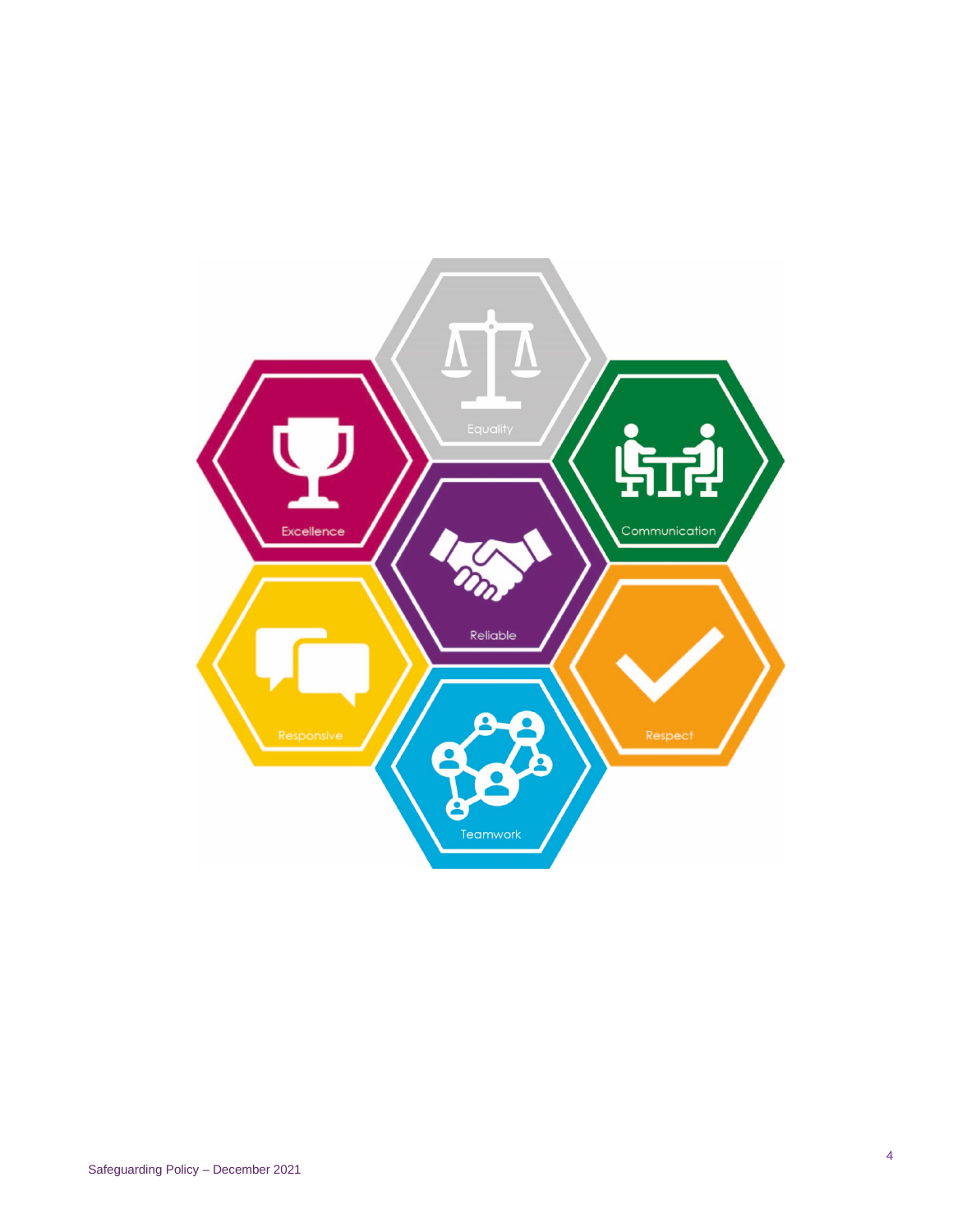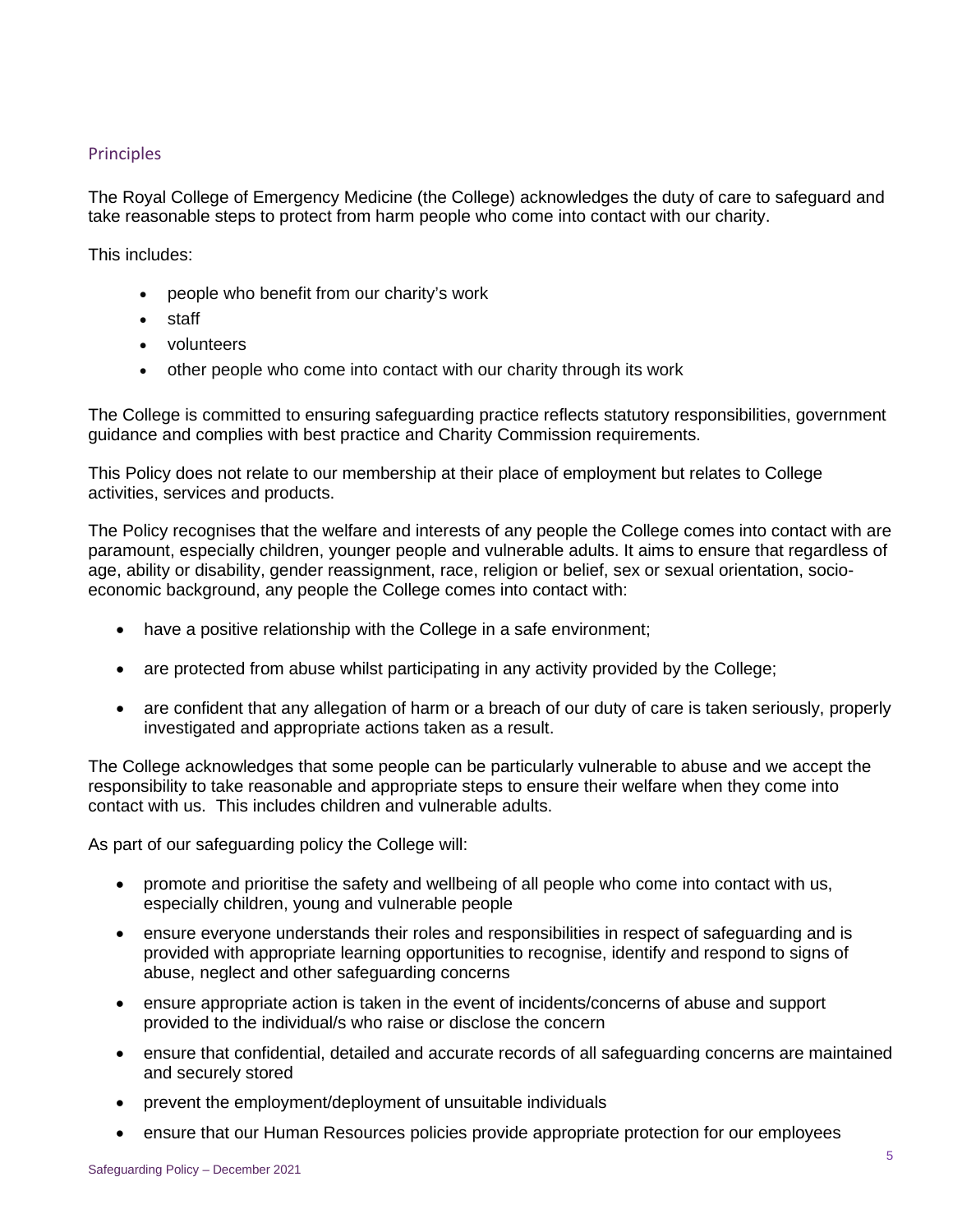### <span id="page-4-0"></span>Principles

The Royal College of Emergency Medicine (the College) acknowledges the duty of care to safeguard and take reasonable steps to protect from harm people who come into contact with our charity.

This includes:

- people who benefit from our charity's work
- staff
- volunteers
- other people who come into contact with our charity through its work

The College is committed to ensuring safeguarding practice reflects statutory responsibilities, government guidance and complies with best practice and Charity Commission requirements.

This Policy does not relate to our membership at their place of employment but relates to College activities, services and products.

The Policy recognises that the welfare and interests of any people the College comes into contact with are paramount, especially children, younger people and vulnerable adults. It aims to ensure that regardless of age, ability or disability, gender reassignment, race, religion or belief, sex or sexual orientation, socioeconomic background, any people the College comes into contact with:

- have a positive relationship with the College in a safe environment;
- are protected from abuse whilst participating in any activity provided by the College;
- are confident that any allegation of harm or a breach of our duty of care is taken seriously, properly investigated and appropriate actions taken as a result.

The College acknowledges that some people can be particularly vulnerable to abuse and we accept the responsibility to take reasonable and appropriate steps to ensure their welfare when they come into contact with us. This includes children and vulnerable adults.

As part of our safeguarding policy the College will:

- promote and prioritise the safety and wellbeing of all people who come into contact with us, especially children, young and vulnerable people
- ensure everyone understands their roles and responsibilities in respect of safeguarding and is provided with appropriate learning opportunities to recognise, identify and respond to signs of abuse, neglect and other safeguarding concerns
- ensure appropriate action is taken in the event of incidents/concerns of abuse and support provided to the individual/s who raise or disclose the concern
- ensure that confidential, detailed and accurate records of all safeguarding concerns are maintained and securely stored
- prevent the employment/deployment of unsuitable individuals
- ensure that our Human Resources policies provide appropriate protection for our employees